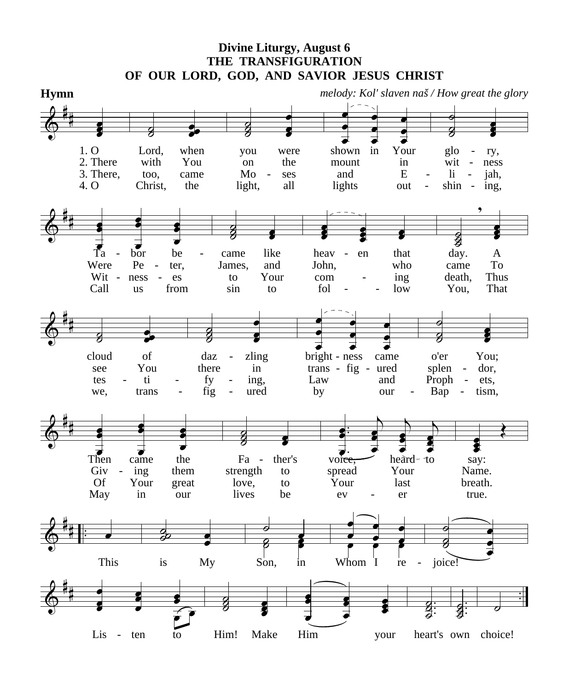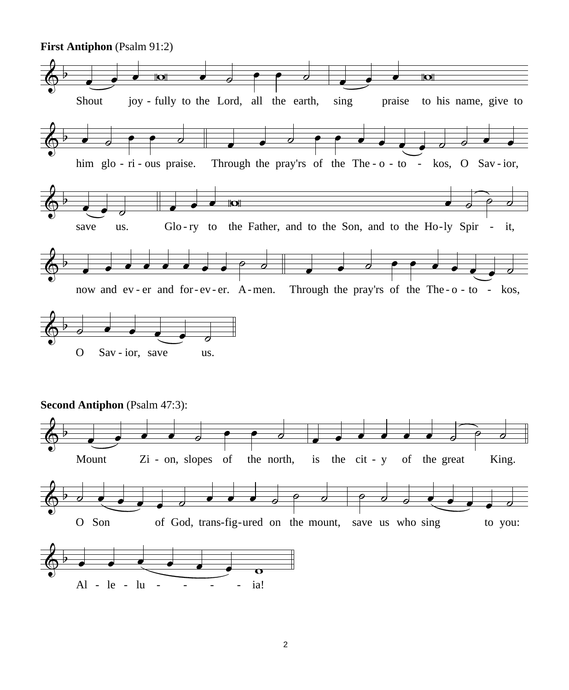

2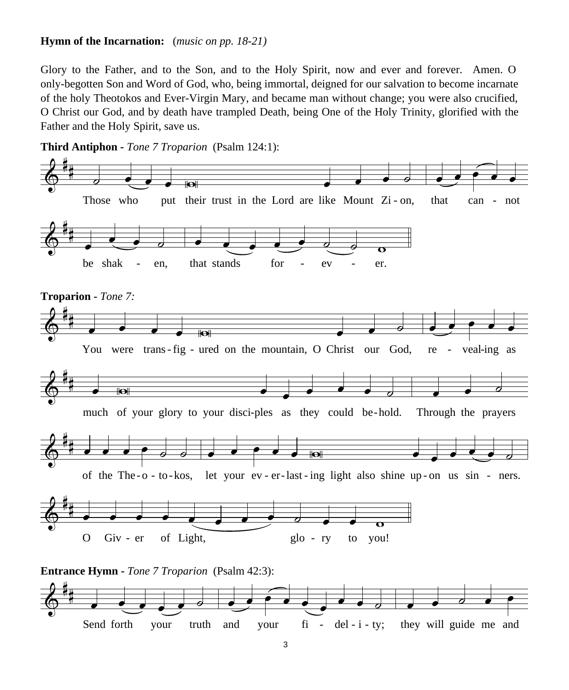## **Hymn of the Incarnation:** (*music on pp. 18-21)*

Glory to the Father, and to the Son, and to the Holy Spirit, now and ever and forever. Amen. O only-begotten Son and Word of God, who, being immortal, deigned for our salvation to become incarnate of the holy Theotokos and Ever-Virgin Mary, and became man without change; you were also crucified, O Christ our God, and by death have trampled Death, being One of the Holy Trinity, glorified with the Father and the Holy Spirit, save us.



**Third Antiphon -** *Tone 7 Troparion* (Psalm 124:1):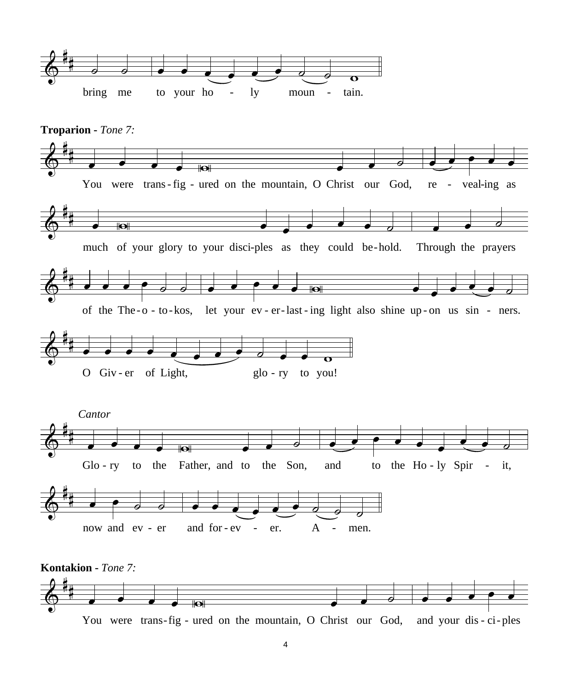

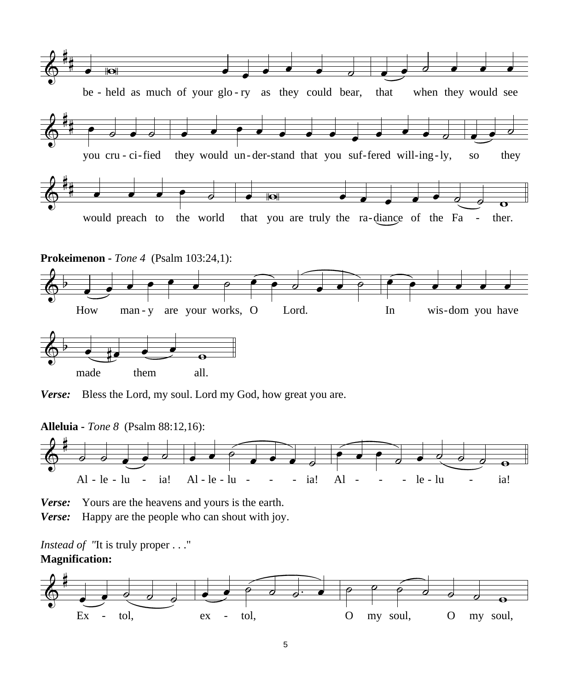







**Alleluia -** *Tone 8* (Psalm 88:12,16):



*Verse:* Yours are the heavens and yours is the earth.

*Verse:* Happy are the people who can shout with joy.

*Instead of "*It is truly proper . . ." **Magnification:**

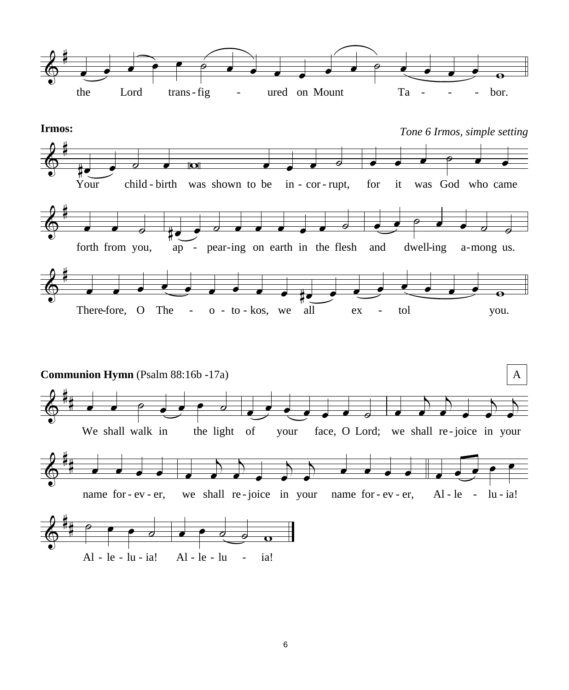